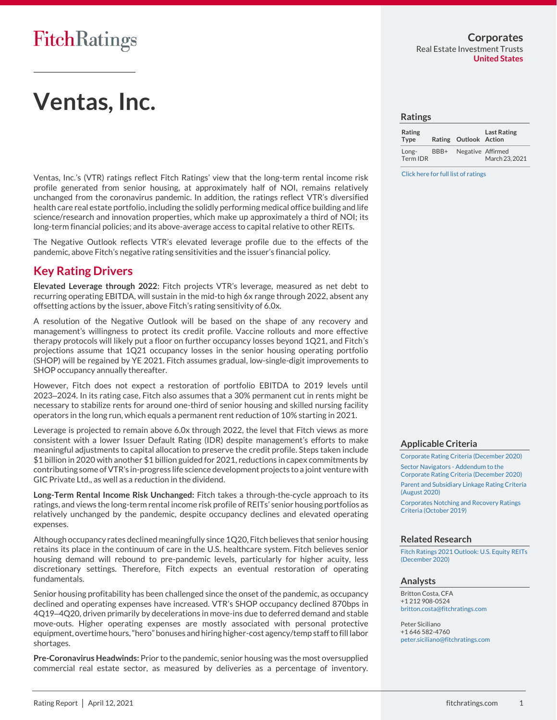# **Ventas, Inc.**

Ventas, Inc.'s (VTR) ratings reflect Fitch Ratings' view that the long-term rental income risk profile generated from senior housing, at approximately half of NOI, remains relatively unchanged from the coronavirus pandemic. In addition, the ratings reflect VTR's diversified health care real estate portfolio, including the solidly performing medical office building and life science/research and innovation properties, which make up approximately a third of NOI; its long-term financial policies; and its above-average access to capital relative to other REITs.

The Negative Outlook reflects VTR's elevated leverage profile due to the effects of the pandemic, above Fitch's negative rating sensitivities and the issuer's financial policy.

## **Key Rating Drivers**

**Elevated Leverage through 2022**: Fitch projects VTR's leverage, measured as net debt to recurring operating EBITDA, will sustain in the mid-to high 6x range through 2022, absent any offsetting actions by the issuer, above Fitch's rating sensitivity of 6.0x.

A resolution of the Negative Outlook will be based on the shape of any recovery and management's willingness to protect its credit profile. Vaccine rollouts and more effective therapy protocols will likely put a floor on further occupancy losses beyond 1Q21, and Fitch's projections assume that 1Q21 occupancy losses in the senior housing operating portfolio (SHOP) will be regained by YE 2021. Fitch assumes gradual, low-single-digit improvements to SHOP occupancy annually thereafter.

However, Fitch does not expect a restoration of portfolio EBITDA to 2019 levels until 2023–2024. In its rating case, Fitch also assumes that a 30% permanent cut in rents might be necessary to stabilize rents for around one-third of senior housing and skilled nursing facility operators in the long run, which equals a permanent rent reduction of 10% starting in 2021.

Leverage is projected to remain above 6.0x through 2022, the level that Fitch views as more consistent with a lower Issuer Default Rating (IDR) despite management's efforts to make meaningful adjustments to capital allocation to preserve the credit profile. Steps taken include \$1 billion in 2020 with another \$1 billion guided for 2021, reductions in capex commitments by contributing some of VTR's in-progress life science development projects to a joint venture with GIC Private Ltd., as well as a reduction in the dividend.

**Long-Term Rental Income Risk Unchanged:** Fitch takes a through-the-cycle approach to its ratings, and views the long-term rental income risk profile of REITs' senior housing portfolios as relatively unchanged by the pandemic, despite occupancy declines and elevated operating expenses.

Although occupancy rates declined meaningfully since 1Q20, Fitch believes that senior housing retains its place in the continuum of care in the U.S. healthcare system. Fitch believes senior housing demand will rebound to pre-pandemic levels, particularly for higher acuity, less discretionary settings. Therefore, Fitch expects an eventual restoration of operating fundamentals.

Senior housing profitability has been challenged since the onset of the pandemic, as occupancy declined and operating expenses have increased. VTR's SHOP occupancy declined 870bps in 4Q19–4Q20, driven primarily by decelerations in move-ins due to deferred demand and stable move-outs. Higher operating expenses are mostly associated with personal protective equipment, overtime hours, "hero"bonuses and hiring higher-cost agency/temp staff to fill labor shortages.

**Pre-Coronavirus Headwinds:** Prior to the pandemic, senior housing was the most oversupplied commercial real estate sector, as measured by deliveries as a percentage of inventory.

#### **Ratings**

| Rating<br><b>Type</b> |      | Rating Outlook Action | <b>Last Rating</b> |
|-----------------------|------|-----------------------|--------------------|
| Long-<br>Term IDR     | BBB+ | Negative Affirmed     | March 23, 2021     |

[Click here for full list of ratings](https://www.fitchratings.com/entity/ventas-inc-83497866)

### **Applicable Criteria**

[Corporate Rating Criteria \(December 2020\)](https://app.fitchconnect.com/search/research/article/RPT_10146507) [Sector Navigators -](https://app.fitchconnect.com/search/research/article/RPT_10144438) Addendum to the [Corporate Rating Criteria \(December 2020\)](https://app.fitchconnect.com/search/research/article/RPT_10144438) [Parent and Subsidiary Linkage Rating Criteria](https://app.fitchconnect.com/search/research/article/RPT_10133830) 

[\(August 2020\)](https://app.fitchconnect.com/search/research/article/RPT_10133830)

[Corporates Notching and Recovery Ratings](https://app.fitchconnect.com/search/research/article/RPT_10090792)  [Criteria \(October 2019\)](https://app.fitchconnect.com/search/research/article/RPT_10090792)

### **Related Research**

[Fitch Ratings 2021 Outlook: U.S. Equity](https://app.fitchconnect.com/search/research/article/RPT_10144388) REITs [\(December 2020\)](https://app.fitchconnect.com/search/research/article/RPT_10144388)

### **Analysts**

Britton Costa, CFA +1 212 908-0524 [britton.costa@fitchratings.com](mailto:%20britton.costa@fitchratings.com)

Peter Siciliano +1 646 582-4760 [peter.siciliano@fitchratings.com](mailto:%20peter.siciliano@fitchratings.com)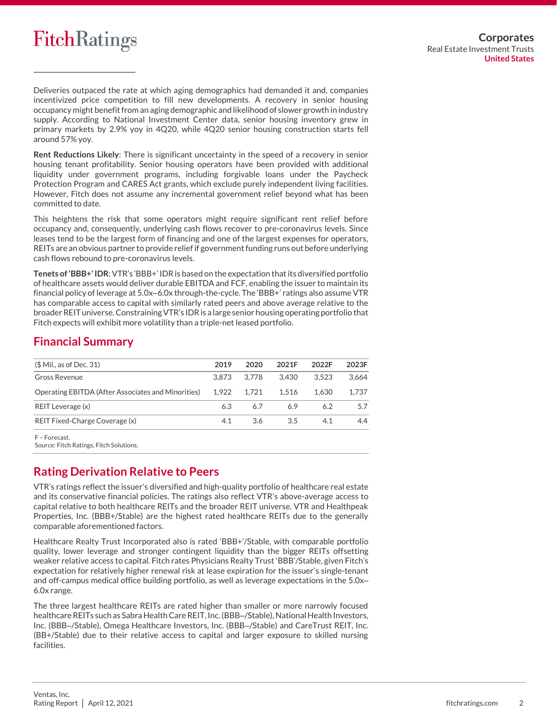

Deliveries outpaced the rate at which aging demographics had demanded it and, companies incentivized price competition to fill new developments. A recovery in senior housing occupancy might benefit from an aging demographic and likelihood of slower growth in industry supply. According to National Investment Center data, senior housing inventory grew in primary markets by 2.9% yoy in 4Q20, while 4Q20 senior housing construction starts fell around 57% yoy.

**Rent Reductions Likely**: There is significant uncertainty in the speed of a recovery in senior housing tenant profitability. Senior housing operators have been provided with additional liquidity under government programs, including forgivable loans under the Paycheck Protection Program and CARES Act grants, which exclude purely independent living facilities. However, Fitch does not assume any incremental government relief beyond what has been committed to date.

This heightens the risk that some operators might require significant rent relief before occupancy and, consequently, underlying cash flows recover to pre-coronavirus levels. Since leases tend to be the largest form of financing and one of the largest expenses for operators, REITs are an obvious partner to provide relief if government funding runs out before underlying cash flows rebound to pre-coronavirus levels.

**Tenets of 'BBB+' IDR**: VTR's 'BBB+' IDR is based on the expectation that its diversified portfolio of healthcare assets would deliver durable EBITDA and FCF, enabling the issuer to maintain its financial policy of leverage at 5.0x–6.0x through-the-cycle. The 'BBB+' ratings also assume VTR has comparable access to capital with similarly rated peers and above average relative to the broader REIT universe. Constraining VTR's IDR is a large senior housing operating portfolio that Fitch expects will exhibit more volatility than a triple-net leased portfolio.

## **Financial Summary**

| $$$ Mil., as of Dec. 31)                           | 2019  | 2020  | 2021F | 2022F | 2023F |
|----------------------------------------------------|-------|-------|-------|-------|-------|
| Gross Revenue                                      | 3.873 | 3.778 | 3.430 | 3.523 | 3.664 |
| Operating EBITDA (After Associates and Minorities) | 1.922 | 1.721 | 1.516 | 1.630 | 1.737 |
| REIT Leverage (x)                                  | 6.3   | 6.7   | 6.9   | 6.2   | 5.7   |
| REIT Fixed-Charge Coverage (x)                     | 4.1   | 3.6   | 3.5   | 4.1   | 4.4   |
| F - Forecast.                                      |       |       |       |       |       |

Source: Fitch Ratings, Fitch Solutions.

## **Rating Derivation Relative to Peers**

VTR's ratings reflect the issuer's diversified and high-quality portfolio of healthcare real estate and its conservative financial policies. The ratings also reflect VTR's above-average access to capital relative to both healthcare REITs and the broader REIT universe. VTR and Healthpeak Properties, Inc. (BBB+/Stable) are the highest rated healthcare REITs due to the generally comparable aforementioned factors.

Healthcare Realty Trust Incorporated also is rated 'BBB+'/Stable, with comparable portfolio quality, lower leverage and stronger contingent liquidity than the bigger REITs offsetting weaker relative access to capital. Fitch rates Physicians Realty Trust 'BBB'/Stable, given Fitch's expectation for relatively higher renewal risk at lease expiration for the issuer's single-tenant and off-campus medical office building portfolio, as well as leverage expectations in the 5.0x– 6.0x range.

The three largest healthcare REITs are rated higher than smaller or more narrowly focused healthcare REITs such as Sabra Health Care REIT, Inc.(BBB–/Stable), National Health Investors, Inc. (BBB–/Stable), Omega Healthcare Investors, Inc. (BBB–/Stable) and CareTrust REIT, Inc. (BB+/Stable) due to their relative access to capital and larger exposure to skilled nursing facilities.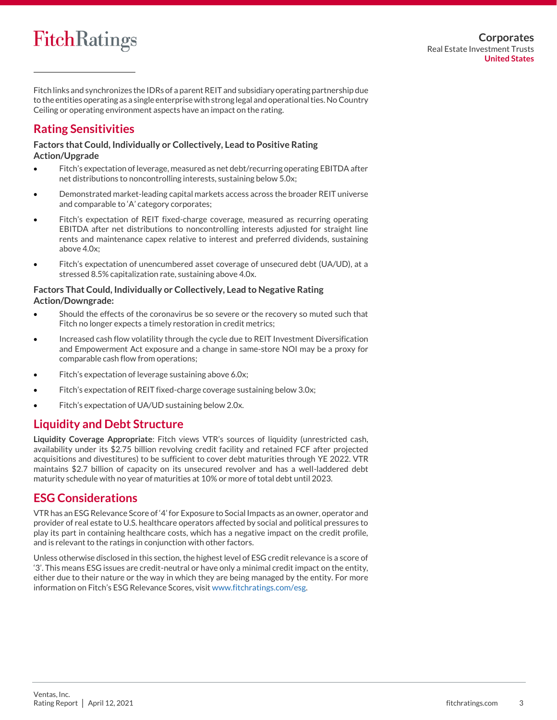Fitch links and synchronizes the IDRs of a parent REIT and subsidiary operating partnership due to the entities operating as a single enterprise with strong legal and operational ties. No Country Ceiling or operating environment aspects have an impact on the rating.

## **Rating Sensitivities**

**Factors that Could, Individually or Collectively, Lead to Positive Rating Action/Upgrade**

- Fitch's expectation of leverage, measured as net debt/recurring operating EBITDA after net distributions to noncontrolling interests, sustaining below 5.0x;
- Demonstrated market-leading capital markets access across the broader REIT universe and comparable to 'A' category corporates;
- Fitch's expectation of REIT fixed-charge coverage, measured as recurring operating EBITDA after net distributions to noncontrolling interests adjusted for straight line rents and maintenance capex relative to interest and preferred dividends, sustaining above 4.0x;
- Fitch's expectation of unencumbered asset coverage of unsecured debt (UA/UD), at a stressed 8.5% capitalization rate, sustaining above 4.0x.

## **Factors That Could, Individually or Collectively, Lead to Negative Rating Action/Downgrade:**

- Should the effects of the coronavirus be so severe or the recovery so muted such that Fitch no longer expects a timely restoration in credit metrics;
- Increased cash flow volatility through the cycle due to REIT Investment Diversification and Empowerment Act exposure and a change in same-store NOI may be a proxy for comparable cash flow from operations;
- Fitch's expectation of leverage sustaining above 6.0x;
- Fitch's expectation of REIT fixed-charge coverage sustaining below 3.0x;
- Fitch's expectation of UA/UD sustaining below 2.0x.

## **Liquidity and Debt Structure**

**Liquidity Coverage Appropriate**: Fitch views VTR's sources of liquidity (unrestricted cash, availability under its \$2.75 billion revolving credit facility and retained FCF after projected acquisitions and divestitures) to be sufficient to cover debt maturities through YE 2022. VTR maintains \$2.7 billion of capacity on its unsecured revolver and has a well-laddered debt maturity schedule with no year of maturities at 10% or more of total debt until 2023.

## **ESG Considerations**

VTRhas an ESG Relevance Score of '4'for Exposure to Social Impacts as an owner, operator and provider of real estate to U.S. healthcare operators affected by social and political pressures to play its part in containing healthcare costs, which has a negative impact on the credit profile, and is relevant to the ratings in conjunction with other factors.

Unless otherwise disclosed in this section, the highest level of ESG credit relevance is a score of '3'. This means ESG issues are credit-neutral or have only a minimal credit impact on the entity, either due to their nature or the way in which they are being managed by the entity. For more information on Fitch's ESG Relevance Scores, visit [www.fitchratings.com/esg.](http://www.fitchratings.com/esg)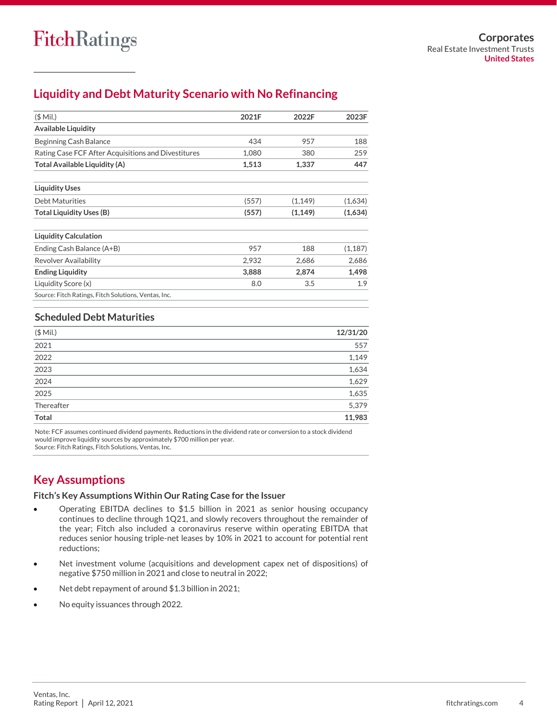## **Liquidity and Debt Maturity Scenario with No Refinancing**

| $(S$ Mil.)                                           | 2021F | 2022F    | 2023F    |
|------------------------------------------------------|-------|----------|----------|
| <b>Available Liquidity</b>                           |       |          |          |
| Beginning Cash Balance                               | 434   | 957      | 188      |
| Rating Case FCF After Acquisitions and Divestitures  | 1,080 | 380      | 259      |
| Total Available Liquidity (A)                        | 1,513 | 1,337    | 447      |
| <b>Liquidity Uses</b>                                |       |          |          |
| <b>Debt Maturities</b>                               | (557) | (1, 149) | (1,634)  |
| <b>Total Liquidity Uses (B)</b>                      | (557) | (1, 149) | (1,634)  |
| <b>Liquidity Calculation</b>                         |       |          |          |
| Ending Cash Balance (A+B)                            | 957   | 188      | (1, 187) |
| Revolver Availability                                | 2,932 | 2,686    | 2,686    |
| <b>Ending Liquidity</b>                              | 3,888 | 2,874    | 1,498    |
| Liquidity Score (x)                                  | 8.0   | 3.5      | 1.9      |
| Source: Fitch Ratings, Fitch Solutions, Ventas, Inc. |       |          |          |

## **Scheduled Debt Maturities**

| $($$ Mil.)   | 12/31/20 |
|--------------|----------|
| 2021         | 557      |
| 2022         | 1,149    |
| 2023         | 1,634    |
| 2024         | 1,629    |
| 2025         | 1,635    |
| Thereafter   | 5,379    |
| <b>Total</b> | 11,983   |

Note: FCF assumes continued dividend payments. Reductions in the dividend rate or conversion to a stock dividend would improve liquidity sources by approximately \$700 million per year. Source: Fitch Ratings, Fitch Solutions, Ventas, Inc.

## **Key Assumptions**

### **Fitch's Key Assumptions Within Our Rating Case for the Issuer**

- Operating EBITDA declines to \$1.5 billion in 2021 as senior housing occupancy continues to decline through 1Q21, and slowly recovers throughout the remainder of the year; Fitch also included a coronavirus reserve within operating EBITDA that reduces senior housing triple-net leases by 10% in 2021 to account for potential rent reductions;
- Net investment volume (acquisitions and development capex net of dispositions) of negative \$750 million in 2021 and close to neutral in 2022;
- Net debt repayment of around \$1.3 billion in 2021;
- No equity issuances through 2022.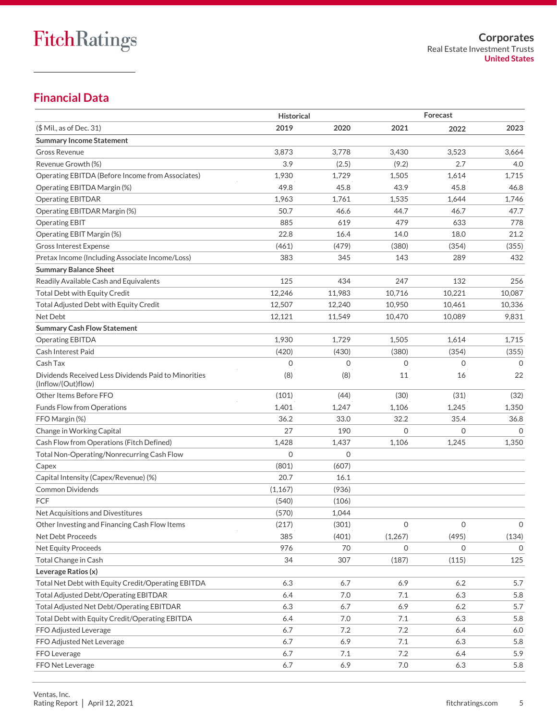## **Financial Data**

|                                                                            | <b>Historical</b> |             |              | Forecast     |              |
|----------------------------------------------------------------------------|-------------------|-------------|--------------|--------------|--------------|
| (\$ Mil., as of Dec. 31)                                                   | 2019              | 2020        | 2021         | 2022         | 2023         |
| <b>Summary Income Statement</b>                                            |                   |             |              |              |              |
| <b>Gross Revenue</b>                                                       | 3,873             | 3,778       | 3,430        | 3,523        | 3,664        |
| Revenue Growth (%)                                                         | 3.9               | (2.5)       | (9.2)        | 2.7          | 4.0          |
| Operating EBITDA (Before Income from Associates)                           | 1,930             | 1,729       | 1,505        | 1,614        | 1,715        |
| Operating EBITDA Margin (%)                                                | 49.8              | 45.8        | 43.9         | 45.8         | 46.8         |
| <b>Operating EBITDAR</b>                                                   | 1,963             | 1,761       | 1,535        | 1,644        | 1,746        |
| Operating EBITDAR Margin (%)                                               | 50.7              | 46.6        | 44.7         | 46.7         | 47.7         |
| <b>Operating EBIT</b>                                                      | 885               | 619         | 479          | 633          | 778          |
| Operating EBIT Margin (%)                                                  | 22.8              | 16.4        | 14.0         | 18.0         | 21.2         |
| <b>Gross Interest Expense</b>                                              | (461)             | (479)       | (380)        | (354)        | (355)        |
| Pretax Income (Including Associate Income/Loss)                            | 383               | 345         | 143          | 289          | 432          |
| <b>Summary Balance Sheet</b>                                               |                   |             |              |              |              |
| Readily Available Cash and Equivalents                                     | 125               | 434         | 247          | 132          | 256          |
| <b>Total Debt with Equity Credit</b>                                       | 12,246            | 11,983      | 10,716       | 10,221       | 10,087       |
| Total Adjusted Debt with Equity Credit                                     | 12,507            | 12,240      | 10.950       | 10,461       | 10,336       |
| Net Debt                                                                   | 12,121            | 11,549      | 10,470       | 10,089       | 9,831        |
| <b>Summary Cash Flow Statement</b>                                         |                   |             |              |              |              |
| <b>Operating EBITDA</b>                                                    | 1,930             | 1,729       | 1,505        | 1,614        | 1,715        |
| <b>Cash Interest Paid</b>                                                  | (420)             | (430)       | (380)        | (354)        | (355)        |
| Cash Tax                                                                   | $\mathbf 0$       | $\mathbf 0$ | $\circ$      | 0            | 0            |
| Dividends Received Less Dividends Paid to Minorities<br>(Inflow/(Out)flow) | (8)               | (8)         | 11           | 16           | 22           |
| Other Items Before FFO                                                     | (101)             | (44)        | (30)         | (31)         | (32)         |
| <b>Funds Flow from Operations</b>                                          | 1,401             | 1,247       | 1,106        | 1,245        | 1,350        |
| FFO Margin (%)                                                             | 36.2              | 33.0        | 32.2         | 35.4         | 36.8         |
| Change in Working Capital                                                  | 27                | 190         | $\Omega$     | 0            | $\Omega$     |
| Cash Flow from Operations (Fitch Defined)                                  | 1,428             | 1,437       | 1,106        | 1,245        | 1,350        |
| Total Non-Operating/Nonrecurring Cash Flow                                 | $\Omega$          | $\Omega$    |              |              |              |
| Capex                                                                      | (801)             | (607)       |              |              |              |
| Capital Intensity (Capex/Revenue) (%)                                      | 20.7              | 16.1        |              |              |              |
| <b>Common Dividends</b>                                                    | (1, 167)          | (936)       |              |              |              |
| FCF                                                                        | (540)             | (106)       |              |              |              |
| Net Acquisitions and Divestitures                                          | (570)             | 1,044       |              |              |              |
| Other Investing and Financing Cash Flow Items                              | (217)             | (301)       | $\mathbf 0$  | $\mathbf 0$  | $\mathsf O$  |
| Net Debt Proceeds                                                          | 385               | (401)       | (1,267)      | (495)        | (134)        |
| Net Equity Proceeds                                                        | 976               | 70          | $\mathbf{O}$ | $\mathbf{0}$ | $\mathbf{0}$ |
| Total Change in Cash                                                       | 34                | 307         | (187)        | (115)        | 125          |
| Leverage Ratios (x)                                                        |                   |             |              |              |              |
| Total Net Debt with Equity Credit/Operating EBITDA                         | 6.3               | 6.7         | 6.9          | 6.2          | 5.7          |
| Total Adjusted Debt/Operating EBITDAR                                      | 6.4               | 7.0         | 7.1          | 6.3          | 5.8          |
| Total Adjusted Net Debt/Operating EBITDAR                                  | 6.3               | 6.7         | 6.9          | 6.2          | 5.7          |
| Total Debt with Equity Credit/Operating EBITDA                             | 6.4               | 7.0         | 7.1          | 6.3          | 5.8          |
| FFO Adjusted Leverage                                                      | 6.7               | $7.2\,$     | $7.2\,$      | 6.4          | 6.0          |
| FFO Adjusted Net Leverage                                                  | 6.7               | 6.9         | 7.1          | 6.3          | 5.8          |
| FFO Leverage                                                               | 6.7               | 7.1         | 7.2          | 6.4          | 5.9          |
| FFO Net Leverage                                                           | 6.7               | 6.9         | 7.0          | 6.3          | 5.8          |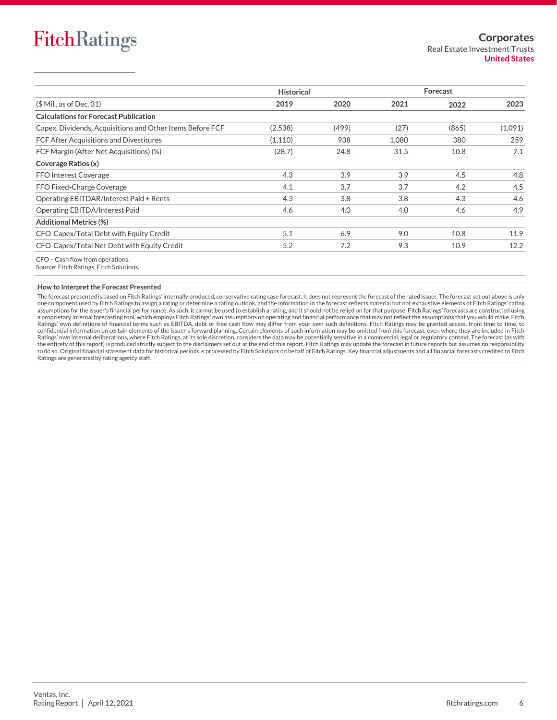|                                                                             | <b>Historical</b> |       | Forecast |       |         |  |
|-----------------------------------------------------------------------------|-------------------|-------|----------|-------|---------|--|
| $$$ Mil., as of Dec. 31)                                                    | 2019              | 2020  | 2021     | 2022  | 2023    |  |
| <b>Calculations for Forecast Publication</b>                                |                   |       |          |       |         |  |
| Capex, Dividends, Acquisitions and Other Items Before FCF                   | (2,538)           | (499) | (27)     | (865) | (1,091) |  |
| <b>FCF After Acquisitions and Divestitures</b>                              | (1, 110)          | 938   | 1,080    | 380   | 259     |  |
| FCF Margin (After Net Acquisitions) (%)                                     | (28.7)            | 24.8  | 31.5     | 10.8  | 7.1     |  |
| Coverage Ratios (x)                                                         |                   |       |          |       |         |  |
| <b>FFO Interest Coverage</b>                                                | 4.3               | 3.9   | 3.9      | 4.5   | 4.8     |  |
| FFO Fixed-Charge Coverage                                                   | 4.1               | 3.7   | 3.7      | 4.2   | 4.5     |  |
| Operating EBITDAR/Interest Paid + Rents                                     | 4.3               | 3.8   | 3.8      | 4.3   | 4.6     |  |
| Operating EBITDA/Interest Paid                                              | 4.6               | 4.0   | 4.0      | 4.6   | 4.9     |  |
| <b>Additional Metrics (%)</b>                                               |                   |       |          |       |         |  |
| CFO-Capex/Total Debt with Equity Credit                                     | 5.1               | 6.9   | 9.0      | 10.8  | 11.9    |  |
| CFO-Capex/Total Net Debt with Equity Credit                                 | 5.2               | 7.2   | 9.3      | 10.9  | 12.2    |  |
| CFO - Cash flow from operations.<br>Source: Fitch Ratings, Fitch Solutions. |                   |       |          |       |         |  |

#### **How to Interpret the Forecast Presented**

The forecast presented is based on Fitch Ratings' internally produced, conservative rating case forecast. It does not represent the forecast of the rated issuer. The forecast set out above is only one component used by Fitch Ratings to assign a rating or determine a rating outlook, and the information in the forecast reflects material but not exhaustive elements of Fitch Ratings' rating<br>assumptions for the issuer's a proprietary internal forecasting tool, which employs Fitch Ratings' own assumptions on operating and financial performance that may not reflect the assumptions that you would make. Fitch Ratings' own definitions of financial terms such as EBITDA, debt or free cash flow may differ from your own such definitions. Fitch Ratings may be granted access, from time to time, to confidential information on certain elements of the issuer's forward planning. Certain elements of such information may be omitted from this forecast, even where they are included in Fitch Ratings' own internal deliberations, where Fitch Ratings, at its sole discretion, considers the data may be potentially sensitive in a commercial, legal or regulatory context. The forecast (as with<br>the entirety of this rep Ratings are generated by rating agency staff.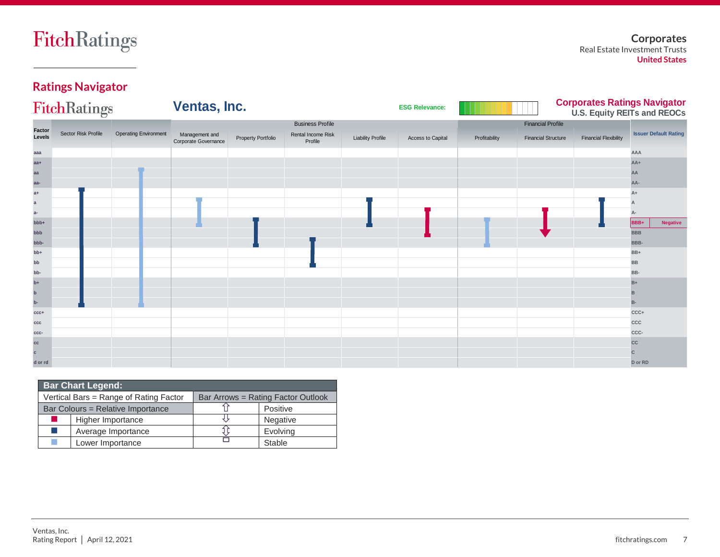**Corporates** Real Estate Investment Trusts **United States**

## **Ratings Navigator**

|                  | FitchRatings        |                              | Ventas, Inc.                           |                    |                               |                          | <b>ESG Relevance:</b> |               |                            | <b>Corporates Ratings Navigator<br/>U.S. Equity REITs and REOCs</b> |            |                              |
|------------------|---------------------|------------------------------|----------------------------------------|--------------------|-------------------------------|--------------------------|-----------------------|---------------|----------------------------|---------------------------------------------------------------------|------------|------------------------------|
|                  |                     |                              |                                        |                    | <b>Business Profile</b>       |                          |                       |               | <b>Financial Profile</b>   |                                                                     |            |                              |
| Factor<br>Levels | Sector Risk Profile | <b>Operating Environment</b> | Management and<br>Corporate Governance | Property Portfolio | Rental Income Risk<br>Profile | <b>Liability Profile</b> | Access to Capital     | Profitability | <b>Financial Structure</b> | <b>Financial Flexibility</b>                                        |            | <b>Issuer Default Rating</b> |
| aaa              |                     |                              |                                        |                    |                               |                          |                       |               |                            |                                                                     | AAA        |                              |
| $aa+$            |                     |                              |                                        |                    |                               |                          |                       |               |                            |                                                                     | $AA+$      |                              |
| aa               |                     |                              |                                        |                    |                               |                          |                       |               |                            |                                                                     | AA         |                              |
| aa-              |                     |                              |                                        |                    |                               |                          |                       |               |                            |                                                                     | AA-        |                              |
| $a+$             |                     |                              |                                        |                    |                               |                          |                       |               |                            |                                                                     | A+         |                              |
| $\mathbf{a}$     |                     |                              |                                        |                    |                               |                          |                       |               |                            |                                                                     |            |                              |
| $a-$             |                     |                              |                                        |                    |                               |                          |                       |               |                            |                                                                     |            |                              |
| bbb+             |                     |                              |                                        |                    |                               |                          |                       |               |                            |                                                                     | BBB+       | <b>Negative</b>              |
| bbb              |                     |                              |                                        |                    |                               |                          |                       |               |                            |                                                                     | <b>BBB</b> |                              |
| -ddd             |                     |                              |                                        |                    |                               |                          |                       |               |                            |                                                                     | BBB-       |                              |
| $bb+$            |                     |                              |                                        |                    |                               |                          |                       |               |                            |                                                                     | BB+        |                              |
| bb               |                     |                              |                                        |                    |                               |                          |                       |               |                            |                                                                     | <b>BB</b>  |                              |
| bb-              |                     |                              |                                        |                    |                               |                          |                       |               |                            |                                                                     | BB-        |                              |
| $b+$             |                     |                              |                                        |                    |                               |                          |                       |               |                            |                                                                     | $B+$       |                              |
| $\mathbf b$      |                     |                              |                                        |                    |                               |                          |                       |               |                            |                                                                     | в          |                              |
| $\mathbf{b}$ -   |                     |                              |                                        |                    |                               |                          |                       |               |                            |                                                                     | B-         |                              |
| $ccc+$           |                     |                              |                                        |                    |                               |                          |                       |               |                            |                                                                     | CCC+       |                              |
| ccc              |                     |                              |                                        |                    |                               |                          |                       |               |                            |                                                                     | CCC        |                              |
| ccc-             |                     |                              |                                        |                    |                               |                          |                       |               |                            |                                                                     | CCC-       |                              |
| cc               |                     |                              |                                        |                    |                               |                          |                       |               |                            |                                                                     | cc         |                              |
| $\mathbf{c}$     |                     |                              |                                        |                    |                               |                          |                       |               |                            |                                                                     | C          |                              |
| d or rd          |                     |                              |                                        |                    |                               |                          |                       |               |                            |                                                                     | D or RD    |                              |

| <b>Bar Chart Legend:</b> |                                        |                                    |                 |  |  |  |  |  |  |  |
|--------------------------|----------------------------------------|------------------------------------|-----------------|--|--|--|--|--|--|--|
|                          | Vertical Bars = Range of Rating Factor | Bar Arrows = Rating Factor Outlook |                 |  |  |  |  |  |  |  |
|                          | Bar Colours = Relative Importance      |                                    | Positive        |  |  |  |  |  |  |  |
| ш                        | Higher Importance                      |                                    | <b>Negative</b> |  |  |  |  |  |  |  |
| a a                      | Average Importance                     |                                    | Evolving        |  |  |  |  |  |  |  |
|                          | Lower Importance                       |                                    | Stable          |  |  |  |  |  |  |  |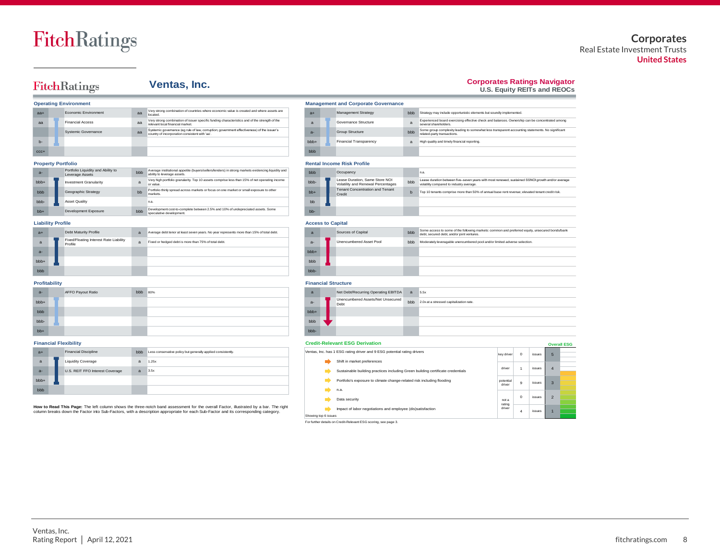### **Corporates** Real Estate Investment Trusts **United States**

## FitchRatings

## **Ventas, Inc.**

## **Corporates Ratings Navigator U.S. Equity REITs and REOCs**

Experienced board exercising effective check and balances. Ownership can be concentrated among several shareholders. Some group complexity leading to somewhat less transparent accounting statements. No significant related-party transactions.

|                | <b>Operating Environment</b> | <b>Management and Corporate Governance</b> |                                                                                                                                              |                |  |                               |                |
|----------------|------------------------------|--------------------------------------------|----------------------------------------------------------------------------------------------------------------------------------------------|----------------|--|-------------------------------|----------------|
| $a +$          | Economic Environment         | aa                                         | Very strong combination of countries where economic value is created and where assets are<br>located.                                        | $a+$           |  | Management Strategy           | bbb            |
| $\overline{a}$ | <b>Financial Access</b>      | $\overline{a}$                             | Very strong combination of issuer specific funding characteristics and of the strength of the<br>relevant local financial market             | $\overline{a}$ |  | Governance Structure          | $\overline{a}$ |
|                | Systemic Governance          | $\overline{a}$                             | Systemic governance (eg rule of law, corruption; government effectiveness) of the issuer's<br>country of incorporation consistent with 'aa'. | $a -$          |  | Group Structure               | bbb            |
| $h-$           |                              |                                            |                                                                                                                                              | bbb+           |  | <b>Financial Transparency</b> | $\overline{a}$ |
| $CCC +$        |                              |                                            |                                                                                                                                              | bbb            |  |                               |                |

#### **Property Portfolio Rental Income Risk Property Property Portfolio**

| $a -$           | Portfolio Liquidity and Ability to<br>Leverage Assets | bbb | Average institutional appetite (buvers/sellers/lenders) in strong markets evidencing liquidity and<br>ability to leverage assets. | bbb   | Occupancy                                                            |     |
|-----------------|-------------------------------------------------------|-----|-----------------------------------------------------------------------------------------------------------------------------------|-------|----------------------------------------------------------------------|-----|
| bb <sub>+</sub> | <b>Investment Granularity</b>                         | a   | Very high portfolio granularity. Top 10 assets comprise less than 15% of net operating income<br>or value.                        | bbb-  | Lease Duration, Same Store NOI<br>Volatility and Renewal Percentages | bbb |
| bbb             | Geographic Strategy                                   | bb  | Portfolio thinly spread across markets or focus on one market or small exposure to other<br>markets.                              | $hh+$ | <b>Tenant Concentration and Tenant</b><br>Credit                     |     |
| bbb-            | <b>Asset Quality</b>                                  |     | n.a.                                                                                                                              | bb    |                                                                      |     |
| $hh+$           | Development Exposure                                  | bbb | Development cost-to-complete between 2.5% and 10% of undepreciated assets. Some<br>speculative development.                       | $hh-$ |                                                                      |     |

#### **Liability Profile Access to Capital**

| $a+$            | Debt Maturity Profile                             | a | Average debt tenor at least seven years. No year represents more than 15% of total debt. | a      | Sources of Capital      | bbb |
|-----------------|---------------------------------------------------|---|------------------------------------------------------------------------------------------|--------|-------------------------|-----|
| a               | Fixed/Floating Interest Rate Liability<br>Profile | a | Fixed or hedged debt is more than 75% of total debt.                                     | $a -$  | Unencumbered Asset Pool | bbb |
| $a -$           |                                                   |   |                                                                                          | $bbb+$ |                         |     |
| bb <sub>+</sub> |                                                   |   |                                                                                          | bbb    |                         |     |
| bbb             |                                                   |   |                                                                                          | bbb-   |                         |     |

| ntal Income Risk Profile |  |                                                                      |     |                                                                                                                                              |  |  |  |  |  |
|--------------------------|--|----------------------------------------------------------------------|-----|----------------------------------------------------------------------------------------------------------------------------------------------|--|--|--|--|--|
| ۱h                       |  | Occupancy                                                            |     | n.a.                                                                                                                                         |  |  |  |  |  |
| b-                       |  | Lease Duration, Same Store NOI<br>Volatility and Renewal Percentages | bbb | Lease duration between five-seven vears with most renewed, sustained SSNOI growth and/or average<br>volatility compared to industry average. |  |  |  |  |  |
| $+$                      |  | <b>Tenant Concentration and Tenant</b><br>Credit                     | b   | Top 10 tenants comprise more than 50% of annual base rent revenue; elevated tenant credit risk.                                              |  |  |  |  |  |
|                          |  |                                                                      |     |                                                                                                                                              |  |  |  |  |  |
|                          |  |                                                                      |     |                                                                                                                                              |  |  |  |  |  |

High quality and timely financial reporting.

bbb Strategy may include opportunistic elements but soundly implemented.

**Management and Corporate Governance** 

|      | Access to Gabital              |            |                                                                                                                                               |
|------|--------------------------------|------------|-----------------------------------------------------------------------------------------------------------------------------------------------|
| a    | Sources of Capital             |            | Some access to some of the following markets: common and preferred equity, unsecured bonds/bank<br>debt, secured debt, and/or joint ventures. |
| $a-$ | <b>Unencumbered Asset Pool</b> | <b>bbb</b> | Moderately leveragable unencumbered pool and/or limited adverse selection.                                                                    |
| bbb+ |                                |            |                                                                                                                                               |
| bbb  |                                |            |                                                                                                                                               |
| bbb- |                                |            |                                                                                                                                               |

|       | Profitability |                   |     |     |  |       |  | <b>Financial Structure</b>                |     |  |  |  |  |  |
|-------|---------------|-------------------|-----|-----|--|-------|--|-------------------------------------------|-----|--|--|--|--|--|
| $a -$ |               | AFFO Payout Ratio | bbb | 80% |  | a     |  | Net Debt/Recurring Operating EBITDA       | a   |  |  |  |  |  |
| bbb+  |               |                   |     |     |  | $a -$ |  | Unencumbered Assets/Net Unsecured<br>Debt | bbb |  |  |  |  |  |
| bbb   |               |                   |     |     |  | bbb+  |  |                                           |     |  |  |  |  |  |
| bbb-  |               |                   |     |     |  | bbb   |  |                                           |     |  |  |  |  |  |
| $bb+$ |               |                   |     |     |  | bbb-  |  |                                           |     |  |  |  |  |  |

| $a+$         | <b>Financial Discipline</b>     | bbb          | Less conservative policy but generally applied consistently. |  | Ventas, Inc. has 1 ESG rating driver and 9 ESG potential rating drivers         | key drive |
|--------------|---------------------------------|--------------|--------------------------------------------------------------|--|---------------------------------------------------------------------------------|-----------|
| $\mathbf{a}$ | <b>Liquidity Coverage</b>       | $\mathbf{a}$ | 1.25x                                                        |  | Shift in market preferences                                                     |           |
| $a -$        | U.S. REIT FFO Interest Coverage | a            | 3.5x                                                         |  | Sustainable building practices including Green building certificate credentials | driver    |
| bbb+         |                                 |              |                                                              |  | Portfolio's exposure to climate change-related risk including flooding          | potentia  |
| bbb          |                                 |              |                                                              |  | n.a.                                                                            | driver    |

**How to Read This Page:** The left column shows the three-notch band assessment for the overall Factor, illustrated by a bar. The right column breaks down the Factor into Sub-Factors, with a description appropriate for each Sub-Factor and its corresponding category.

| a      | Net Debt/Recurring Operating EBITDA       | a   | 5.5x                                    |
|--------|-------------------------------------------|-----|-----------------------------------------|
| $a -$  | Unencumbered Assets/Net Unsecured<br>Debt | bbb | 2.0x at a stressed capitalization rate. |
| $bbb+$ |                                           |     |                                         |
| bbb    |                                           |     |                                         |
| bbb-   |                                           |     |                                         |

#### **Financial Flexibility Credit-Relevant ESG Derivation**

| Credit-Relevant ESG Derivation<br><b>Overall ESG</b>                    |                                                                                 |                  |          |        |                |  |  |  |  |
|-------------------------------------------------------------------------|---------------------------------------------------------------------------------|------------------|----------|--------|----------------|--|--|--|--|
| Ventas, Inc. has 1 ESG rating driver and 9 ESG potential rating drivers | key driver                                                                      | $\Omega$         | issues   | 5      |                |  |  |  |  |
|                                                                         | Shift in market preferences                                                     |                  |          |        |                |  |  |  |  |
|                                                                         | Sustainable building practices including Green building certificate credentials | driver           | 1        | issues | $\overline{4}$ |  |  |  |  |
|                                                                         | Portfolio's exposure to climate change-related risk including flooding          |                  | 9        | issues | $\mathbf{B}$   |  |  |  |  |
|                                                                         | n.a.                                                                            | driver           |          |        |                |  |  |  |  |
|                                                                         | Data security                                                                   | not a            | $\Omega$ | issues | $\overline{z}$ |  |  |  |  |
|                                                                         | Impact of labor negotiations and employee (dis)satisfaction                     | rating<br>driver | 4        | issues |                |  |  |  |  |
| Showing top 6 issues                                                    |                                                                                 |                  |          |        |                |  |  |  |  |

For further details on Credit-Relevant ESG scoring, see page 3.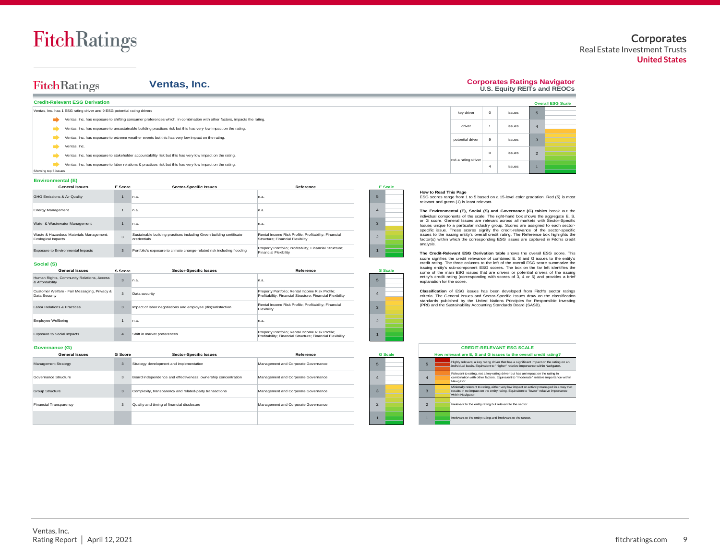#### **Corporates** Real Estate Investment Trusts **United States**

#### FitchRatings **Ventas, Inc. Credit-Relevant ESG Derivation** Ventas, Inc. has 1 ESG rating driver and 9 ESG potential rating drivers Ventas, Inc. has exposure to shifting consumer preferences which, in combination with other factors, impacts the rating. Ventas, Inc. has exposure to unsustainable building practices risk but this has very low impact on the rating.  $\rightarrow$ Ventas, Inc. has exposure to extreme weather events but this has very low impact on the rating. Ventas, Inc. Ventas, Inc. has exposure to stakeholder accountability risk but this has very low impact on the rating. Ventas, Inc. has exposure to labor relations & practices risk but this has very low impact on the rating. Showing top 6 issues

#### **Environmental (E)**

 $\rightarrow$ 

| <b>General Issues</b>                                         | E Score        | <b>Sector-Specific Issues</b>                                                      | Reference                                                                                |  | E Scale |
|---------------------------------------------------------------|----------------|------------------------------------------------------------------------------------|------------------------------------------------------------------------------------------|--|---------|
| GHG Emissions & Air Quality                                   |                | n.a.                                                                               | n.a.                                                                                     |  |         |
| <b>Energy Management</b>                                      |                | n.a.                                                                               | n.a.                                                                                     |  |         |
| Water & Wastewater Management                                 |                | n.a.                                                                               | n.a.                                                                                     |  |         |
| Waste & Hazardous Materials Management;<br>Ecological Impacts | $\overline{3}$ | Sustainable building practices including Green building certificate<br>credentials | Rental Income Risk Profile: Profitability: Financial<br>Structure: Financial Flexibility |  |         |
| Exposure to Environmental Impacts                             | 3              | Portfolio's exposure to climate change-related risk including flooding             | Property Portfolio; Profitability; Financial Structure;<br><b>Financial Flexibility</b>  |  |         |

#### **Social (S)**

| <b>General Issues</b>                                         | S Score          | <b>Sector-Specific Issues</b>                               | Reference                                                                                                    |
|---------------------------------------------------------------|------------------|-------------------------------------------------------------|--------------------------------------------------------------------------------------------------------------|
| Human Rights, Community Relations, Access<br>& Affordability  | $\overline{a}$   | n.a.                                                        | In.a.                                                                                                        |
| Customer Welfare - Fair Messaging, Privacy &<br>Data Security | $\mathbf{a}$     | Data security                                               | Property Portfolio: Rental Income Risk Profile:<br>Profitability: Financial Structure: Financial Flexibility |
| Labor Relations & Practices                                   | $\overline{a}$   | Impact of labor negotiations and employee (dis)satisfaction | Rental Income Risk Profile: Profitability: Financial<br>Flexibility                                          |
| Employee Wellbeing                                            |                  | n a                                                         | n.a.                                                                                                         |
| <b>Exposure to Social Impacts</b>                             | $\boldsymbol{A}$ | Shift in market preferences                                 | Property Portfolio; Rental Income Risk Profile;<br>Profitability: Financial Structure: Financial Flexibility |

#### **Governance (G)**

| <b>General Issues</b>  | <b>G</b> Score | <b>Sector-Specific Issues</b>                                 | Reference                           | <b>G</b> Scale |  |            | How relevant are E. S and G issues to the overa                                                                                              |
|------------------------|----------------|---------------------------------------------------------------|-------------------------------------|----------------|--|------------|----------------------------------------------------------------------------------------------------------------------------------------------|
| Management Strategy    |                | Strategy development and implementation                       | Management and Corporate Governance |                |  | -5         | Highly relevant, a key rating driver that has a significal<br>individual basis. Equivalent to "higher" relative imports                      |
| Governance Structure   |                | Board independence and effectiveness: ownership concentration | Management and Corporate Governance |                |  | $\Delta$   | Relevant to rating, not a key rating driver but has an in<br>combination with other factors. Equivalent to "moderal<br>Navigator.            |
| Group Structure        |                | Complexity, transparency and related-party transactions       | Management and Corporate Governance |                |  |            | Minimally relevant to rating, either very low impact or a<br>results in no impact on the entity rating. Equivalent to "<br>within Navigator. |
| Financial Transparency |                | Quality and timing of financial disclosure                    | Management and Corporate Governance |                |  | $\sqrt{2}$ | Irrelevant to the entity rating but relevant to the sector.                                                                                  |
|                        |                |                                                               |                                     |                |  |            | Irrelevant to the entity rating and irrelevant to the sector                                                                                 |

|                       |                                                                                                                                |             |        |                | <b>Overall ESG Scale</b> |
|-----------------------|--------------------------------------------------------------------------------------------------------------------------------|-------------|--------|----------------|--------------------------|
|                       | key driver                                                                                                                     | $\mathbf 0$ | issues | 5              |                          |
|                       | driver                                                                                                                         | 1           | issues | $\overline{4}$ |                          |
|                       | potential driver                                                                                                               | 9           | issues | 3              |                          |
|                       | not a rating driver                                                                                                            | $\circ$     | issues | $\overline{2}$ |                          |
|                       |                                                                                                                                | 4           | issues | $\overline{1}$ |                          |
| How to Read This Page | ESG scores range from 1 to 5 based on a 15-level color gradation. Red (5) is most<br>relevant and green (1) is least relevant. |             |        |                |                          |

**Corporates Ratings Navigator U.S. Equity REITs and REOCs**

#### **How to Read This Page**

5 4

> 2 1

3

**S Scale**

**The Environmental (E), Social (S) and Governance (G) tables** break out the individual components of the scale. The right-hand box shows the aggregate E, S, or G score. General Issues are relevant across all markets with Sector-Specific Issues 1<br>
Issues 1<br>
ISSUES CONTES TO A particular industry and the absolute of the particular order of the particular order of the scores are relevant and group. The Environmental (E), Social (S) and Governance (G) tables specific issue. These scores signify the credit-relevance of the sector-specific How to Read This Page<br>
ESC scores range from 1 to 5 based on a 15-level color gradation. Red (5) is most<br>
relevant and green (1) is least relevant.<br>
The Environmental (E), Social (S) and Governance (G) tables break out the factor(s) within which the corresponding ESG issues are captured in Fitch's credit analysis. relevant and green (1) is least relevant.<br>
The Environmental (E), Social (S) and Governance (S) tables break one is entity<br>
and G is core. General issues are relevant across all markets with Sector-Specific<br>
Issues unreque

**The Credit-Relevant ESG Derivation table** shows the overall ESG score. This issuing entity's sub-component ESG scores. The box on the far left identifies the<br>some of the main ESG issues that are drivers or potential drivers of the issuing<br>entity's credit rating (corresponding with scores of 3, 4 o explanation for the score.

**Classification** of ESG issues has been developed from Fitch's sector ratings criteria. The General Issues and Sector-Specific Issues draw on the classification standards published by the United Nations Principles for Responsible Investing (PRI) and the Sustainability Accounting Standards Board (SASB).

|                | <b>CREDIT-RELEVANT ESG SCALE</b><br>How relevant are E, S and G issues to the overall credit rating?                                                                                                |
|----------------|-----------------------------------------------------------------------------------------------------------------------------------------------------------------------------------------------------|
| 5              | Highly relevant, a key rating driver that has a significant impact on the rating on an<br>individual basis. Equivalent to "higher" relative importance within Navigator.                            |
| $\overline{4}$ | Relevant to rating, not a key rating driver but has an impact on the rating in<br>combination with other factors. Equivalent to "moderate" relative importance within<br>Navigator.                 |
| 3              | Minimally relevant to rating, either very low impact or actively managed in a way that<br>results in no impact on the entity rating. Equivalent to "lower" relative importance<br>within Navigator. |
| $\mathfrak{p}$ | Irrelevant to the entity rating but relevant to the sector.                                                                                                                                         |
|                | Irrelevant to the entity rating and irrelevant to the sector.                                                                                                                                       |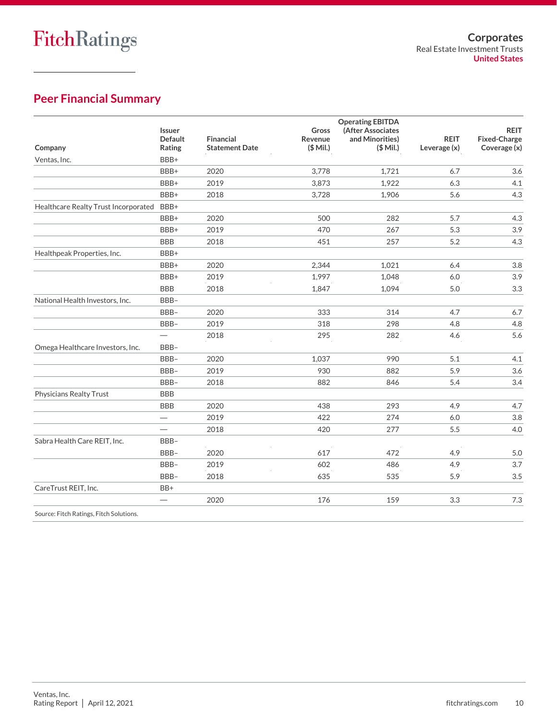## **Peer Financial Summary**

|                                           | <b>Issuer</b><br><b>Default</b> | Financial             | Gross<br>Revenue | <b>Operating EBITDA</b><br>(After Associates<br>and Minorities)                                                                                                                                                                                                        | <b>REIT</b>  | <b>REIT</b><br><b>Fixed-Charge</b> |
|-------------------------------------------|---------------------------------|-----------------------|------------------|------------------------------------------------------------------------------------------------------------------------------------------------------------------------------------------------------------------------------------------------------------------------|--------------|------------------------------------|
| Company                                   | Rating                          | <b>Statement Date</b> | $($$ Mil.)       | $($$ Mil.)                                                                                                                                                                                                                                                             | Leverage (x) | Coverage (x)                       |
| Ventas, Inc.                              | BBB+                            |                       |                  |                                                                                                                                                                                                                                                                        |              |                                    |
|                                           | BBB+                            | 2020                  | 3,778            | 1,721                                                                                                                                                                                                                                                                  | 6.7          | 3.6                                |
|                                           | BBB+                            | 2019                  | 3,873            | 1,922                                                                                                                                                                                                                                                                  | 6.3          | 4.1                                |
|                                           | BBB+                            | 2018                  | 3,728            | 1,906                                                                                                                                                                                                                                                                  | 5.6          | 4.3                                |
| Healthcare Realty Trust Incorporated BBB+ |                                 |                       |                  |                                                                                                                                                                                                                                                                        |              |                                    |
|                                           | BBB+                            | 2020                  | 500              | 282                                                                                                                                                                                                                                                                    | 5.7          | 4.3                                |
|                                           | BBB+                            | 2019                  | 470              | 267                                                                                                                                                                                                                                                                    | 5.3          | 3.9                                |
|                                           | <b>BBB</b>                      | 2018                  | 451              | 257                                                                                                                                                                                                                                                                    | 5.2          | 4.3                                |
| Healthpeak Properties, Inc.               | BBB+                            |                       |                  | 2,344<br>1,021<br>6.4<br>1,997<br>1,048<br>6.0<br>1,847<br>1,094<br>5.0<br>333<br>314<br>4.7<br>318<br>298<br>4.8<br>295<br>282<br>4.6<br>1,037<br>990<br>5.1<br>930<br>882<br>5.9<br>882<br>846<br>5.4<br>438<br>293<br>4.9<br>422<br>274<br>6.0<br>277<br>5.5<br>420 |              |                                    |
|                                           | BBB+                            | 2020                  |                  |                                                                                                                                                                                                                                                                        |              | 3.8                                |
|                                           | BBB+                            | 2019                  |                  |                                                                                                                                                                                                                                                                        |              | 3.9                                |
|                                           | <b>BBB</b>                      | 2018                  |                  |                                                                                                                                                                                                                                                                        |              | 3.3                                |
| National Health Investors, Inc.           | BBB-                            |                       |                  |                                                                                                                                                                                                                                                                        |              |                                    |
|                                           | BBB-                            | 2020                  |                  |                                                                                                                                                                                                                                                                        |              | 6.7                                |
|                                           | BBB-                            | 2019                  |                  |                                                                                                                                                                                                                                                                        |              | 4.8                                |
|                                           | $\overline{\phantom{0}}$        | 2018                  |                  |                                                                                                                                                                                                                                                                        |              | 5.6                                |
| Omega Healthcare Investors, Inc.          | BBB-                            |                       |                  |                                                                                                                                                                                                                                                                        |              |                                    |
|                                           | BBB-                            | 2020                  |                  |                                                                                                                                                                                                                                                                        |              | 4.1                                |
|                                           | BBB-                            | 2019                  |                  |                                                                                                                                                                                                                                                                        |              | 3.6                                |
|                                           | BBB-                            | 2018                  |                  |                                                                                                                                                                                                                                                                        |              | 3.4                                |
| Physicians Realty Trust                   | <b>BBB</b>                      |                       |                  |                                                                                                                                                                                                                                                                        |              |                                    |
|                                           | <b>BBB</b>                      | 2020                  |                  |                                                                                                                                                                                                                                                                        |              | 4.7                                |
|                                           | $\overline{\phantom{0}}$        | 2019                  |                  |                                                                                                                                                                                                                                                                        |              | 3.8                                |
|                                           |                                 | 2018                  |                  |                                                                                                                                                                                                                                                                        |              | 4.0                                |
| Sabra Health Care REIT, Inc.              | BBB-                            |                       |                  |                                                                                                                                                                                                                                                                        |              |                                    |
|                                           | BBB-                            | 2020                  | 617              | 472                                                                                                                                                                                                                                                                    | 4.9          | 5.0                                |
|                                           | BBB-                            | 2019                  | 602              | 486                                                                                                                                                                                                                                                                    | 4.9          | 3.7                                |
|                                           | BBB-                            | 2018                  | 635              | 535                                                                                                                                                                                                                                                                    | 5.9          | 3.5                                |
| CareTrust REIT, Inc.                      | BB+                             |                       |                  |                                                                                                                                                                                                                                                                        |              |                                    |
|                                           | $\overline{\phantom{0}}$        | 2020                  | 176              | 159                                                                                                                                                                                                                                                                    | 3.3          | 7.3                                |
| Source: Fitch Ratings, Fitch Solutions.   |                                 |                       |                  |                                                                                                                                                                                                                                                                        |              |                                    |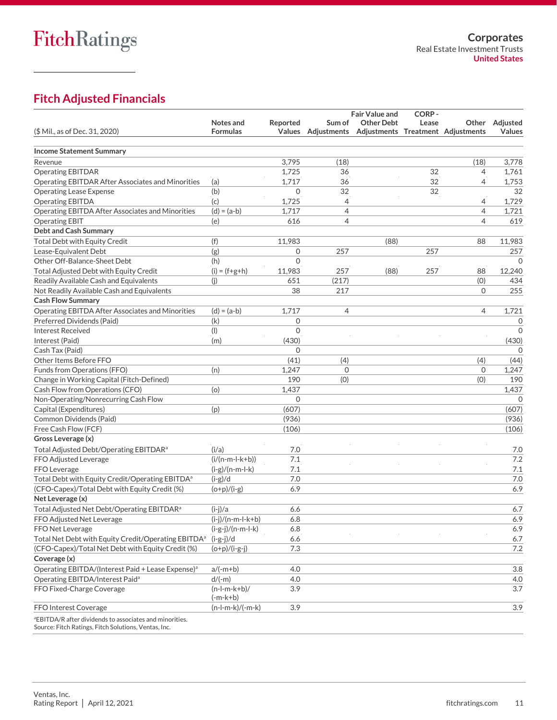## **Fitch Adjusted Financials**

|                                                                                                                             |                                    |              |                                               | <b>Fair Value and</b> | CORP- |                |                |
|-----------------------------------------------------------------------------------------------------------------------------|------------------------------------|--------------|-----------------------------------------------|-----------------------|-------|----------------|----------------|
|                                                                                                                             | Notes and                          | Reported     | Sum of                                        | <b>Other Debt</b>     | Lease |                | Other Adjusted |
| (\$ Mil., as of Dec. 31, 2020)                                                                                              | <b>Formulas</b>                    | Values       | Adjustments Adjustments Treatment Adjustments |                       |       |                | <b>Values</b>  |
| <b>Income Statement Summary</b>                                                                                             |                                    |              |                                               |                       |       |                |                |
| Revenue                                                                                                                     |                                    | 3,795        | (18)                                          |                       |       | (18)           | 3,778          |
| <b>Operating EBITDAR</b>                                                                                                    |                                    | 1,725        | 36                                            |                       | 32    | 4              | 1,761          |
| Operating EBITDAR After Associates and Minorities                                                                           | (a)                                | 1,717        | 36                                            |                       | 32    | 4              | 1,753          |
| <b>Operating Lease Expense</b>                                                                                              | (b)                                | $\mathbf{0}$ | 32                                            |                       | 32    |                | 32             |
| <b>Operating EBITDA</b>                                                                                                     | (c)                                | 1,725        | 4                                             |                       |       | 4              | 1,729          |
| Operating EBITDA After Associates and Minorities                                                                            | $(d) = (a-b)$                      | 1,717        | 4                                             |                       |       | 4              | 1,721          |
| <b>Operating EBIT</b>                                                                                                       | (e)                                | 616          | 4                                             |                       |       | 4              | 619            |
| <b>Debt and Cash Summary</b>                                                                                                |                                    |              |                                               |                       |       |                |                |
| <b>Total Debt with Equity Credit</b>                                                                                        | (f)                                | 11,983       |                                               | (88)                  |       | 88             | 11,983         |
| Lease-Equivalent Debt                                                                                                       | (g)                                | $\mathbf 0$  | 257                                           |                       | 257   |                | 257            |
| Other Off-Balance-Sheet Debt                                                                                                | (h)                                | $\Omega$     |                                               |                       |       |                | $\Omega$       |
| Total Adjusted Debt with Equity Credit                                                                                      | $(i) = (f+g+h)$                    | 11,983       | 257                                           | (88)                  | 257   | 88             | 12,240         |
| Readily Available Cash and Equivalents                                                                                      | (j)                                | 651          | (217)                                         |                       |       | (0)            | 434            |
| Not Readily Available Cash and Equivalents                                                                                  |                                    | 38           | 217                                           |                       |       | $\Omega$       | 255            |
| <b>Cash Flow Summary</b>                                                                                                    |                                    |              |                                               |                       |       |                |                |
| Operating EBITDA After Associates and Minorities                                                                            | $(d) = (a-b)$                      | 1,717        | $\overline{4}$                                |                       |       | $\overline{4}$ | 1,721          |
| Preferred Dividends (Paid)                                                                                                  | (k)                                | $\mathbf 0$  |                                               |                       |       |                | 0              |
| <b>Interest Received</b>                                                                                                    | (1)                                | $\mathbf{0}$ |                                               |                       |       |                | $\mathbf{0}$   |
| Interest (Paid)                                                                                                             | (m)                                | (430)        |                                               |                       |       |                | (430)          |
| Cash Tax (Paid)                                                                                                             |                                    | $\Omega$     |                                               |                       |       |                | $\Omega$       |
| Other Items Before FFO                                                                                                      |                                    | (41)         | (4)                                           |                       |       | (4)            | (44)           |
| Funds from Operations (FFO)                                                                                                 | (n)                                | 1,247        | $\mathbf 0$                                   |                       |       | 0              | 1,247          |
| Change in Working Capital (Fitch-Defined)                                                                                   |                                    | 190          | (0)                                           |                       |       | (0)            | 190            |
| Cash Flow from Operations (CFO)                                                                                             | (o)                                | 1,437        |                                               |                       |       |                | 1,437          |
| Non-Operating/Nonrecurring Cash Flow                                                                                        |                                    | $\Omega$     |                                               |                       |       |                | $\Omega$       |
| Capital (Expenditures)                                                                                                      | (p)                                | (607)        |                                               |                       |       |                | (607)          |
| Common Dividends (Paid)                                                                                                     |                                    | (936)        |                                               |                       |       |                | (936)          |
| Free Cash Flow (FCF)                                                                                                        |                                    | (106)        |                                               |                       |       |                | (106)          |
| Gross Leverage (x)                                                                                                          |                                    |              |                                               |                       |       |                |                |
| Total Adjusted Debt/Operating EBITDAR <sup>a</sup>                                                                          | (i/a)                              | 7.0          |                                               |                       |       |                | 7.0            |
| FFO Adjusted Leverage                                                                                                       | $(i/(n-m-l-k+b))$                  | 7.1          |                                               |                       |       |                | 7.2            |
| FFO Leverage                                                                                                                | $(i-g)/(n-m-l-k)$                  | 7.1          |                                               |                       |       |                | 7.1            |
| Total Debt with Equity Credit/Operating EBITDA <sup>a</sup>                                                                 | $(i-g)/d$                          | 7.0          |                                               |                       |       |                | 7.0            |
| (CFO-Capex)/Total Debt with Equity Credit (%)                                                                               | $(o+p)/(i-g)$                      | 6.9          |                                               |                       |       |                | 6.9            |
| Net Leverage (x)                                                                                                            |                                    |              |                                               |                       |       |                |                |
| Total Adjusted Net Debt/Operating EBITDAR <sup>a</sup>                                                                      | $(i-i)/a$                          | 6.6          |                                               |                       |       |                | 6.7            |
| FFO Adjusted Net Leverage                                                                                                   | $(i-j)/(n-m-l-k+b)$                | 6.8          |                                               |                       |       |                | 6.9            |
|                                                                                                                             |                                    |              |                                               |                       |       |                |                |
| FFO Net Leverage<br>Total Net Debt with Equity Credit/Operating EBITDA <sup>a</sup>                                         | $(i-g-j)/(n-m-l-k)$<br>$(i-g-j)/d$ | 6.8<br>6.6   |                                               |                       |       |                | 6.9<br>6.7     |
| (CFO-Capex)/Total Net Debt with Equity Credit (%)                                                                           | $(o+p)/(i-g-j)$                    | 7.3          |                                               |                       |       |                | 7.2            |
| Coverage (x)                                                                                                                |                                    |              |                                               |                       |       |                |                |
|                                                                                                                             |                                    |              |                                               |                       |       |                |                |
| Operating EBITDA/(Interest Paid + Lease Expense) <sup>a</sup>                                                               | $a/(-m+b)$                         | 4.0          |                                               |                       |       |                | 3.8            |
| Operating EBITDA/Interest Paid <sup>a</sup>                                                                                 | $d/(-m)$                           | 4.0          |                                               |                       |       |                | 4.0            |
| FFO Fixed-Charge Coverage                                                                                                   | $(n-l-m-k+b)$ /<br>$(-m-k+b)$      | 3.9          |                                               |                       |       |                | 3.7            |
| FFO Interest Coverage                                                                                                       | $(n-l-m-k)/(-m-k)$                 | 3.9          |                                               |                       |       |                | 3.9            |
|                                                                                                                             |                                    |              |                                               |                       |       |                |                |
| <sup>a</sup> EBITDA/R after dividends to associates and minorities.<br>Source: Eitch Patings, Eitch Solutions, Ventas, Inc. |                                    |              |                                               |                       |       |                |                |

burce: Fitch Ratings, Fitch Solutions, Ventas, Inc.